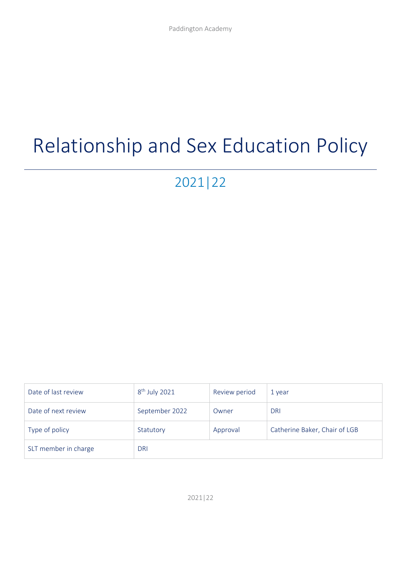# Relationship and Sex Education Policy

# 2021|22

| Date of last review  | $8th$ July 2021 | Review period | 1 year                        |
|----------------------|-----------------|---------------|-------------------------------|
| Date of next review  | September 2022  | Owner         | <b>DRI</b>                    |
| Type of policy       | Statutory       | Approval      | Catherine Baker, Chair of LGB |
| SLT member in charge | <b>DRI</b>      |               |                               |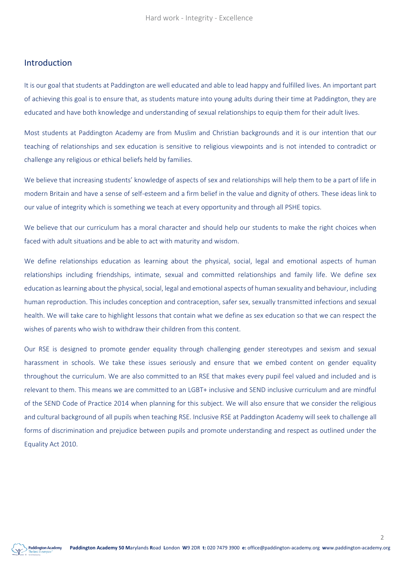#### Introduction

It is our goal that students at Paddington are well educated and able to lead happy and fulfilled lives. An important part of achieving this goal is to ensure that, as students mature into young adults during their time at Paddington, they are educated and have both knowledge and understanding of sexual relationships to equip them for their adult lives.

Most students at Paddington Academy are from Muslim and Christian backgrounds and it is our intention that our teaching of relationships and sex education is sensitive to religious viewpoints and is not intended to contradict or challenge any religious or ethical beliefs held by families.

We believe that increasing students' knowledge of aspects of sex and relationships will help them to be a part of life in modern Britain and have a sense of self-esteem and a firm belief in the value and dignity of others. These ideas link to our value of integrity which is something we teach at every opportunity and through all PSHE topics.

We believe that our curriculum has a moral character and should help our students to make the right choices when faced with adult situations and be able to act with maturity and wisdom.

We define relationships education as learning about the physical, social, legal and emotional aspects of human relationships including friendships, intimate, sexual and committed relationships and family life. We define sex education as learning about the physical, social, legal and emotional aspects of human sexuality and behaviour, including human reproduction. This includes conception and contraception, safer sex, sexually transmitted infections and sexual health. We will take care to highlight lessons that contain what we define as sex education so that we can respect the wishes of parents who wish to withdraw their children from this content.

Our RSE is designed to promote gender equality through challenging gender stereotypes and sexism and sexual harassment in schools. We take these issues seriously and ensure that we embed content on gender equality throughout the curriculum. We are also committed to an RSE that makes every pupil feel valued and included and is relevant to them. This means we are committed to an LGBT+ inclusive and SEND inclusive curriculum and are mindful of the SEND Code of Practice 2014 when planning for this subject. We will also ensure that we consider the religious and cultural background of all pupils when teaching RSE. Inclusive RSE at Paddington Academy will seek to challenge all forms of discrimination and prejudice between pupils and promote understanding and respect as outlined under the Equality Act 2010.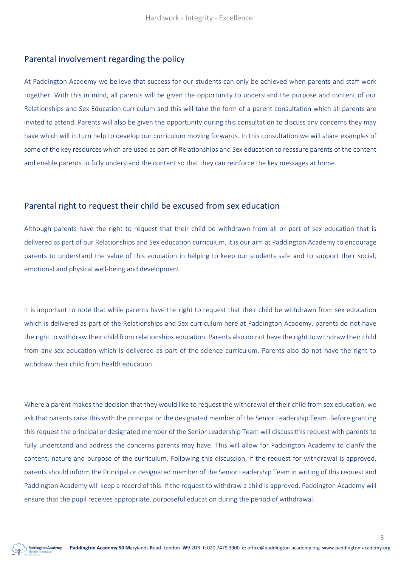#### Parental involvement regarding the policy

At Paddington Academy we believe that success for our students can only be achieved when parents and staff work together. With this in mind, all parents will be given the opportunity to understand the purpose and content of our Relationships and Sex Education curriculum and this will take the form of a parent consultation which all parents are invited to attend. Parents will also be given the opportunity during this consultation to discuss any concerns they may have which will in turn help to develop our curriculum moving forwards. In this consultation we will share examples of some of the key resources which are used as part of Relationships and Sex education to reassure parents of the content and enable parents to fully understand the content so that they can reinforce the key messages at home.

#### Parental right to request their child be excused from sex education

Although parents have the right to request that their child be withdrawn from all or part of sex education that is delivered as part of our Relationships and Sex education curriculum, it is our aim at Paddington Academy to encourage parents to understand the value of this education in helping to keep our students safe and to support their social, emotional and physical well-being and development.

It is important to note that while parents have the right to request that their child be withdrawn from sex education which is delivered as part of the Relationships and Sex curriculum here at Paddington Academy, parents do not have the right to withdraw their child from relationships education. Parents also do not have the right to withdraw their child from any sex education which is delivered as part of the science curriculum. Parents also do not have the right to withdraw their child from health education.

Where a parent makes the decision that they would like to request the withdrawal of their child from sex education, we ask that parents raise this with the principal or the designated member of the Senior Leadership Team. Before granting this request the principal or designated member of the Senior Leadership Team will discuss this request with parents to fully understand and address the concerns parents may have. This will allow for Paddington Academy to clarify the content, nature and purpose of the curriculum. Following this discussion, if the request for withdrawal is approved, parents should inform the Principal or designated member of the Senior Leadership Team in writing of this request and Paddington Academy will keep a record of this. If the request to withdraw a child is approved, Paddington Academy will ensure that the pupil receives appropriate, purposeful education during the period of withdrawal.

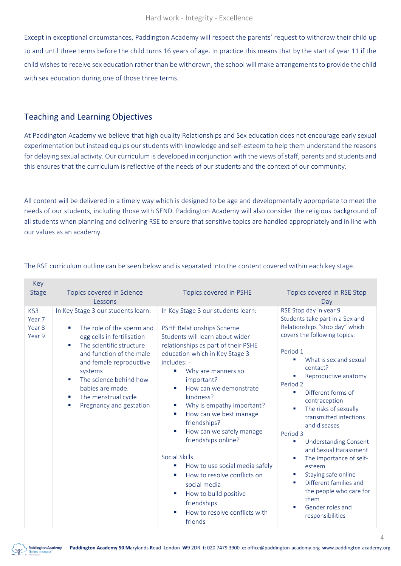Except in exceptional circumstances, Paddington Academy will respect the parents' request to withdraw their child up to and until three terms before the child turns 16 years of age. In practice this means that by the start of year 11 if the child wishes to receive sex education rather than be withdrawn, the school will make arrangements to provide the child with sex education during one of those three terms.

## Teaching and Learning Objectives

At Paddington Academy we believe that high quality Relationships and Sex education does not encourage early sexual experimentation but instead equips our students with knowledge and self-esteem to help them understand the reasons for delaying sexual activity. Our curriculum is developed in conjunction with the views of staff, parents and students and this ensures that the curriculum is reflective of the needs of our students and the context of our community.

All content will be delivered in a timely way which is designed to be age and developmentally appropriate to meet the needs of our students, including those with SEND. Paddington Academy will also consider the religious background of all students when planning and delivering RSE to ensure that sensitive topics are handled appropriately and in line with our values as an academy.

| <b>IVCA</b>                       |                                                                                                                                                                                                                                                                                                            |                                                                                                                                                                                                                                                                                                                                                                                                                                                                                                                                                                                                                                   |                                                                                                                                                                                                                                                                                                                                                                                                                                                                                                                                                                                                             |
|-----------------------------------|------------------------------------------------------------------------------------------------------------------------------------------------------------------------------------------------------------------------------------------------------------------------------------------------------------|-----------------------------------------------------------------------------------------------------------------------------------------------------------------------------------------------------------------------------------------------------------------------------------------------------------------------------------------------------------------------------------------------------------------------------------------------------------------------------------------------------------------------------------------------------------------------------------------------------------------------------------|-------------------------------------------------------------------------------------------------------------------------------------------------------------------------------------------------------------------------------------------------------------------------------------------------------------------------------------------------------------------------------------------------------------------------------------------------------------------------------------------------------------------------------------------------------------------------------------------------------------|
| <b>Stage</b>                      | Topics covered in Science                                                                                                                                                                                                                                                                                  | Topics covered in PSHE                                                                                                                                                                                                                                                                                                                                                                                                                                                                                                                                                                                                            | Topics covered in RSE Stop                                                                                                                                                                                                                                                                                                                                                                                                                                                                                                                                                                                  |
|                                   | Lessons                                                                                                                                                                                                                                                                                                    |                                                                                                                                                                                                                                                                                                                                                                                                                                                                                                                                                                                                                                   | Day                                                                                                                                                                                                                                                                                                                                                                                                                                                                                                                                                                                                         |
| KS3<br>Year 7<br>Year 8<br>Year 9 | In Key Stage 3 our students learn:<br>The role of the sperm and<br>egg cells in fertilisation<br>The scientific structure<br>×<br>and function of the male<br>and female reproductive<br>systems<br>The science behind how<br>٠<br>babies are made.<br>The menstrual cycle<br>п<br>Pregnancy and gestation | In Key Stage 3 our students learn:<br>PSHE Relationships Scheme<br>Students will learn about wider<br>relationships as part of their PSHE<br>education which in Key Stage 3<br>includes: -<br>Why are manners so<br>important?<br>How can we demonstrate<br>kindness?<br>Why is empathy important?<br>×<br>How can we best manage<br>×<br>friendships?<br>How can we safely manage<br>ш<br>friendships online?<br><b>Social Skills</b><br>How to use social media safely<br>ш<br>How to resolve conflicts on<br>n.<br>social media<br>How to build positive<br>×<br>friendships<br>How to resolve conflicts with<br>n.<br>friends | RSE Stop day in year 9<br>Students take part in a Sex and<br>Relationships "stop day" which<br>covers the following topics:<br>Period 1<br>What is sex and sexual<br>×<br>contact?<br>Reproductive anatomy<br>Period 2<br>Different forms of<br>п<br>contraception<br>The risks of sexually<br>п<br>transmitted infections<br>and diseases<br>Period 3<br><b>Understanding Consent</b><br>L,<br>and Sexual Harassment<br>The importance of self-<br>L.<br>esteem<br>Staying safe online<br>×<br>Different families and<br>п<br>the people who care for<br>them<br>Gender roles and<br>п<br>responsibilities |

#### The RSE curriculum outline can be seen below and is separated into the content covered within each key stage.



 $K_{\text{max}}$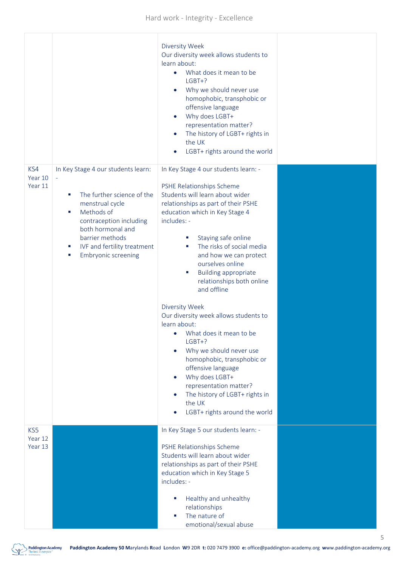|                           |                                                                                                                                                                                                                                                       | Diversity Week<br>Our diversity week allows students to<br>learn about:<br>What does it mean to be<br>$\bullet$<br>$LGBT+?$<br>Why we should never use<br>$\bullet$<br>homophobic, transphobic or<br>offensive language<br>Why does LGBT+<br>$\bullet$<br>representation matter?<br>The history of LGBT+ rights in<br>$\bullet$<br>the UK<br>LGBT+ rights around the world<br>$\bullet$                                                                                                                                                                                                                                                                                                                                                         |  |
|---------------------------|-------------------------------------------------------------------------------------------------------------------------------------------------------------------------------------------------------------------------------------------------------|-------------------------------------------------------------------------------------------------------------------------------------------------------------------------------------------------------------------------------------------------------------------------------------------------------------------------------------------------------------------------------------------------------------------------------------------------------------------------------------------------------------------------------------------------------------------------------------------------------------------------------------------------------------------------------------------------------------------------------------------------|--|
| KS4<br>Year 10<br>Year 11 | In Key Stage 4 our students learn:<br>The further science of the<br>٠<br>menstrual cycle<br>Methods of<br>ш<br>contraception including<br>both hormonal and<br>barrier methods<br>IVF and fertility treatment<br>ш<br><b>Embryonic screening</b><br>ш | In Key Stage 4 our students learn: -<br>PSHE Relationships Scheme<br>Students will learn about wider<br>relationships as part of their PSHE<br>education which in Key Stage 4<br>includes: -<br>Staying safe online<br>ш<br>The risks of social media<br>ш<br>and how we can protect<br>ourselves online<br><b>Building appropriate</b><br>×.<br>relationships both online<br>and offline<br>Diversity Week<br>Our diversity week allows students to<br>learn about:<br>• What does it mean to be<br>$LGBT+?$<br>Why we should never use<br>$\bullet$<br>homophobic, transphobic or<br>offensive language<br>Why does LGBT+<br>$\bullet$<br>representation matter?<br>The history of LGBT+ rights in<br>the UK<br>LGBT+ rights around the world |  |
| KS5<br>Year 12<br>Year 13 |                                                                                                                                                                                                                                                       | In Key Stage 5 our students learn: -<br>PSHE Relationships Scheme<br>Students will learn about wider<br>relationships as part of their PSHE<br>education which in Key Stage 5<br>includes: -<br>Healthy and unhealthy<br>ш<br>relationships<br>The nature of<br>emotional/sexual abuse                                                                                                                                                                                                                                                                                                                                                                                                                                                          |  |